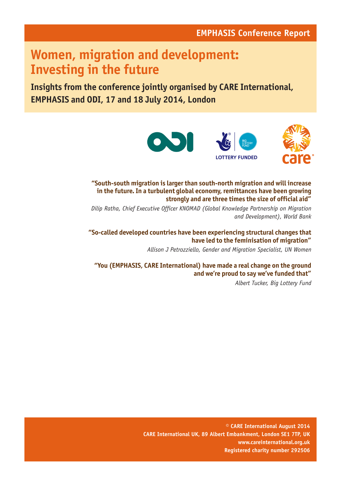## **EMPHASIS Conference Report**

# **Women, migration and development: Investing in the future**

**Insights from the conference jointly organised by CARE International, EMPHASIS and ODI, 17 and 18 July 2014, London**



**"South-south migration is larger than south-north migration and will increase in the future. In a turbulent global economy, remittances have been growing strongly and are three times the size of official aid"** 

*Dilip Ratha, Chief Executive Officer KNOMAD (Global Knowledge Partnership on Migration and Development), World Bank*

**"So-called developed countries have been experiencing structural changes that have led to the feminisation of migration"** 

*Allison J Petrozziello, Gender and Migration Specialist, UN Women*

**"You (EMPHASIS, CARE International) have made a real change on the ground and we're proud to say we've funded that"** 

*Albert Tucker, Big Lottery Fund*

**© CARE International August 2014 CARE International UK, 89 Albert Embankment, London SE1 7TP, UK www.careinternational.org.uk Registered charity number 292506**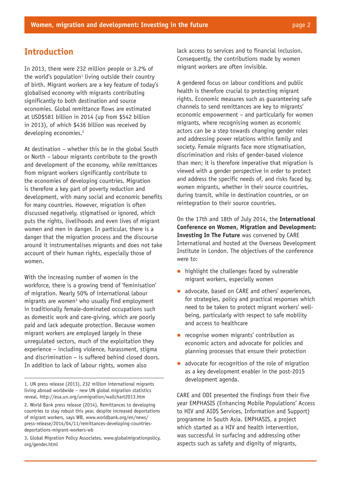### **Introduction**

In 2013, there were 232 million people or 3.2% of the world's population $1$  living outside their country of birth. Migrant workers are a key feature of today's globalised economy with migrants contributing significantly to both destination and source economies. Global remittance flows are estimated at USD\$581 billion in 2014 (up from \$542 billion in 2013), of which \$436 billion was received by developing economies.<sup>2</sup>

At destination – whether this be in the global South or North – labour migrants contribute to the growth and development of the economy, while remittances from migrant workers significantly contribute to the economies of developing countries. Migration is therefore a key part of poverty reduction and development, with many social and economic benefits for many countries. However, migration is often discussed negatively, stigmatised or ignored, which puts the rights, livelihoods and even lives of migrant women and men in danger. In particular, there is a danger that the migration process and the discourse around it instrumentalises migrants and does not take account of their human rights, especially those of women.

With the increasing number of women in the workforce, there is a growing trend of 'feminisation' of migration. Nearly 50% of international labour migrants are women<sup>3</sup> who usually find employment in traditionally female-dominated occupations such as domestic work and care-giving, which are poorly paid and lack adequate protection. Because women migrant workers are employed largely in these unregulated sectors, much of the exploitation they experience – including violence, harassment, stigma and discrimination – is suffered behind closed doors. In addition to lack of labour rights, women also

3. Global Migration Policy Associates, www.globalmigrationpolicy. org/gender.html

lack access to services and to financial inclusion. Consequently, the contributions made by women migrant workers are often invisible.

A gendered focus on labour conditions and public health is therefore crucial to protecting migrant rights. Economic measures such as guaranteeing safe channels to send remittances are key to migrants' economic empowerment – and particularly for women migrants, where recognising women as economic actors can be a step towards changing gender roles and addressing power relations within family and society. Female migrants face more stigmatisation, discrimination and risks of gender-based violence than men; it is therefore imperative that migration is viewed with a gender perspective in order to protect and address the specific needs of, and risks faced by, women migrants, whether in their source countries, during transit, while in destination countries, or on reintegration to their source countries.

On the 17th and 18th of July 2014, the **International Conference on Women, Migration and Development: Investing In The Future** was convened by CARE International and hosted at the Overseas Development Institute in London. The objectives of the conference were to:

- highlight the challenges faced by vulnerable migrant workers, especially women
- advocate, based on CARE and others' experiences, for strategies, policy and practical responses which need to be taken to protect migrant workers' wellbeing, particularly with respect to safe mobility and access to healthcare
- $\bullet$  recognise women migrants' contribution as economic actors and advocate for policies and planning processes that ensure their protection
- $\bullet$  advocate for recognition of the role of migration as a key development enabler in the post-2015 development agenda.

CARE and ODI presented the findings from their five year EMPHASIS (Enhancing Mobile Populations' Access to HIV and AIDS Services, Information and Support) programme in South Asia. EMPHASIS, a project which started as a HIV and health intervention, was successful in surfacing and addressing other aspects such as safety and dignity of migrants,

<sup>1.</sup> UN press release (2013), 232 million international migrants living abroad worldwide – new UN global migration statistics reveal, http://esa.un.org/unmigration/wallchart2013.htm

<sup>2.</sup> World Bank press release (2014), Remittances to developing countries to stay robust this year, despite increased deportations of migrant workers, says WB, www.worldbank.org/en/news/ press-release/2014/04/11/remittances-developing-countriesdeportations-migrant-workers-wb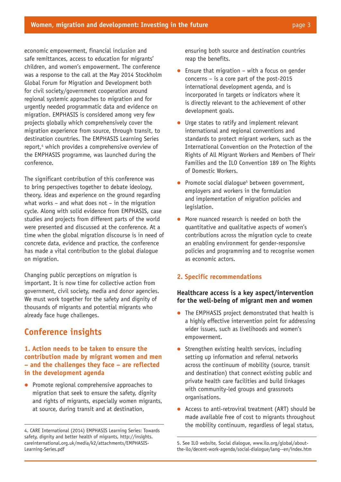economic empowerment, financial inclusion and safe remittances, access to education for migrants' children, and women's empowerment. The conference was a response to the call at the May 2014 Stockholm Global Forum for Migration and Development both for civil society/government cooperation around regional systemic approaches to migration and for urgently needed programmatic data and evidence on migration. EMPHASIS is considered among very few projects globally which comprehensively cover the migration experience from source, through transit, to destination countries. The EMPHASIS Learning Series report,<sup>4</sup> which provides a comprehensive overview of the EMPHASIS programme, was launched during the conference.

The significant contribution of this conference was to bring perspectives together to debate ideology, theory, ideas and experience on the ground regarding what works – and what does not – in the migration cycle. Along with solid evidence from EMPHASIS, case studies and projects from different parts of the world were presented and discussed at the conference. At a time when the global migration discourse is in need of concrete data, evidence and practice, the conference has made a vital contribution to the global dialogue on migration.

Changing public perceptions on migration is important. It is now time for collective action from government, civil society, media and donor agencies. We must work together for the safety and dignity of thousands of migrants and potential migrants who already face huge challenges.

## **Conference insights**

#### **1. Action needs to be taken to ensure the contribution made by migrant women and men – and the challenges they face – are reflected in the development agenda**

 $\bullet$  Promote regional comprehensive approaches to migration that seek to ensure the safety, dignity and rights of migrants, especially women migrants, at source, during transit and at destination,

ensuring both source and destination countries reap the benefits.

- Ensure that migration  $-$  with a focus on gender concerns – is a core part of the post-2015 international development agenda, and is incorporated in targets or indicators where it is directly relevant to the achievement of other development goals.
- $\bullet$  Urge states to ratify and implement relevant international and regional conventions and standards to protect migrant workers, such as the International Convention on the Protection of the Rights of All Migrant Workers and Members of Their Families and the ILO Convention 189 on The Rights of Domestic Workers.
- Promote social dialogue<sup>5</sup> between government, employers and workers in the formulation and implementation of migration policies and legislation.
- More nuanced research is needed on both the quantitative and qualitative aspects of women's contributions across the migration cycle to create an enabling environment for gender-responsive policies and programming and to recognise women as economic actors.

#### **2. Specific recommendations**

#### **Healthcare access is a key aspect/intervention for the well-being of migrant men and women**

- $\bullet$  The EMPHASIS project demonstrated that health is a highly effective intervention point for addressing wider issues, such as livelihoods and women's empowerment.
- Strengthen existing health services, including setting up information and referral networks across the continuum of mobility (source, transit and destination) that connect existing public and private health care facilities and build linkages with community-led groups and grassroots organisations.
- $\bullet$  Access to anti-retroviral treatment (ART) should be made available free of cost to migrants throughout the mobility continuum, regardless of legal status,

<sup>4.</sup> CARE International (2014) EMPHASIS Learning Series: Towards safety, dignity and better health of migrants, http://insights. careinternational.org.uk/media/k2/attachments/EMPHASIS-Learning-Series.pdf

<sup>5.</sup> See ILO website, Social dialogue, www.ilo.org/global/aboutthe-ilo/decent-work-agenda/social-dialogue/lang--en/index.htm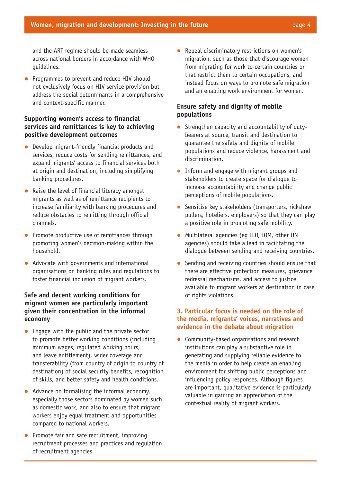and the ART regime should be made seamless across national borders in accordance with WHO guidelines.

Programmes to prevent and reduce HIV should not exclusively focus on HIV service provision but address the social determinants in a comprehensive and context-specific manner.

#### **Supporting women's access to financial services and remittances is key to achieving positive development outcomes**

- $\bullet$  Develop migrant-friendly financial products and services, reduce costs for sending remittances, and expand migrants' access to financial services both at origin and destination, including simplifying banking procedures.
- $\bullet$  Raise the level of financial literacy amongst migrants as well as of remittance recipients to increase familiarity with banking procedures and reduce obstacles to remitting through official channels.
- $\bullet$  Promote productive use of remittances through promoting women's decision-making within the household.
- $\bullet$  Advocate with governments and international organisations on banking rules and regulations to foster financial inclusion of migrant workers.

#### **Safe and decent working conditions for migrant women are particularly important given their concentration in the informal economy**

- $\bullet$  Engage with the public and the private sector to promote better working conditions (including minimum wages, regulated working hours, and leave entitlement), wider coverage and transferability (from country of origin to country of destination) of social security benefits, recognition of skills, and better safety and health conditions.
- $\bullet$  Advance on formalising the informal economy, especially those sectors dominated by women such as domestic work, and also to ensure that migrant workers enjoy equal treatment and opportunities compared to national workers.
- $\bullet$  Promote fair and safe recruitment, improving recruitment processes and practices and regulation of recruitment agencies.

Repeal discriminatory restrictions on women's migration, such as those that discourage women from migrating for work to certain countries or that restrict them to certain occupations, and instead focus on ways to promote safe migration and an enabling work environment for women.

#### **Ensure safety and dignity of mobile populations**

- $\bullet$  Strengthen capacity and accountability of dutybearers at source, transit and destination to guarantee the safety and dignity of mobile populations and reduce violence, harassment and discrimination.
- $\bullet$  Inform and engage with migrant groups and stakeholders to create space for dialogue to increase accountability and change public perceptions of mobile populations.
- $\bullet$  Sensitise key stakeholders (transporters, rickshaw pullers, hoteliers, employers) so that they can play a positive role in promoting safe mobility.
- Multilateral agencies (eg ILO, IOM, other UN agencies) should take a lead in facilitating the dialogue between sending and receiving countries.
- $\bullet$  Sending and receiving countries should ensure that there are effective protection measures, grievance redressal mechanisms, and access to justice available to migrant workers at destination in case of rights violations.

#### **3. Particular focus is needed on the role of the media, migrants' voices, narratives and evidence in the debate about migration**

• Community-based organisations and research institutions can play a substantive role in generating and supplying reliable evidence to the media in order to help create an enabling environment for shifting public perceptions and influencing policy responses. Although figures are important, qualitative evidence is particularly valuable in gaining an appreciation of the contextual reality of migrant workers.